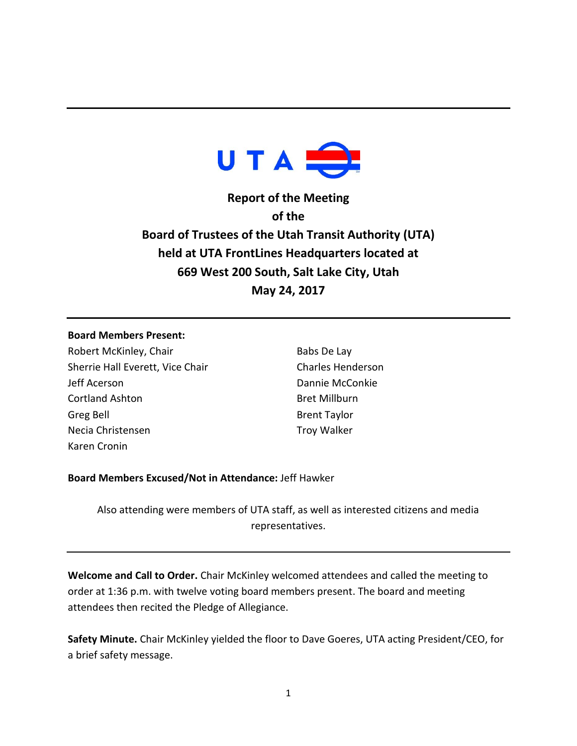

**Report of the Meeting of the Board of Trustees of the Utah Transit Authority (UTA) held at UTA FrontLines Headquarters located at 669 West 200 South, Salt Lake City, Utah May 24, 2017**

#### **Board Members Present:**

Robert McKinley, Chair Sherrie Hall Everett, Vice Chair Jeff Acerson Cortland Ashton Greg Bell Necia Christensen Karen Cronin

Babs De Lay Charles Henderson Dannie McConkie Bret Millburn Brent Taylor Troy Walker

### **Board Members Excused/Not in Attendance:** Jeff Hawker

Also attending were members of UTA staff, as well as interested citizens and media representatives.

**Welcome and Call to Order.** Chair McKinley welcomed attendees and called the meeting to order at 1:36 p.m. with twelve voting board members present. The board and meeting attendees then recited the Pledge of Allegiance.

**Safety Minute.** Chair McKinley yielded the floor to Dave Goeres, UTA acting President/CEO, for a brief safety message.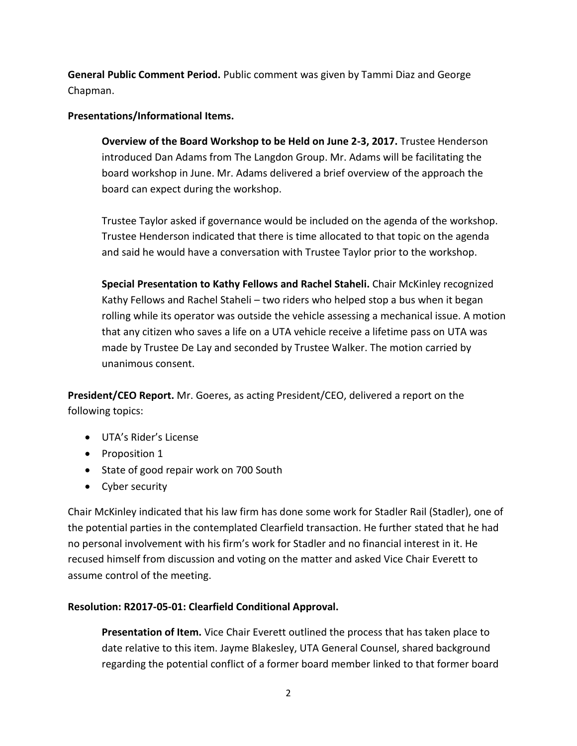**General Public Comment Period.** Public comment was given by Tammi Diaz and George Chapman.

### **Presentations/Informational Items.**

**Overview of the Board Workshop to be Held on June 2-3, 2017.** Trustee Henderson introduced Dan Adams from The Langdon Group. Mr. Adams will be facilitating the board workshop in June. Mr. Adams delivered a brief overview of the approach the board can expect during the workshop.

Trustee Taylor asked if governance would be included on the agenda of the workshop. Trustee Henderson indicated that there is time allocated to that topic on the agenda and said he would have a conversation with Trustee Taylor prior to the workshop.

**Special Presentation to Kathy Fellows and Rachel Staheli.** Chair McKinley recognized Kathy Fellows and Rachel Staheli – two riders who helped stop a bus when it began rolling while its operator was outside the vehicle assessing a mechanical issue. A motion that any citizen who saves a life on a UTA vehicle receive a lifetime pass on UTA was made by Trustee De Lay and seconded by Trustee Walker. The motion carried by unanimous consent.

**President/CEO Report.** Mr. Goeres, as acting President/CEO, delivered a report on the following topics:

- UTA's Rider's License
- Proposition 1
- State of good repair work on 700 South
- Cyber security

Chair McKinley indicated that his law firm has done some work for Stadler Rail (Stadler), one of the potential parties in the contemplated Clearfield transaction. He further stated that he had no personal involvement with his firm's work for Stadler and no financial interest in it. He recused himself from discussion and voting on the matter and asked Vice Chair Everett to assume control of the meeting.

## **Resolution: R2017-05-01: Clearfield Conditional Approval.**

**Presentation of Item.** Vice Chair Everett outlined the process that has taken place to date relative to this item. Jayme Blakesley, UTA General Counsel, shared background regarding the potential conflict of a former board member linked to that former board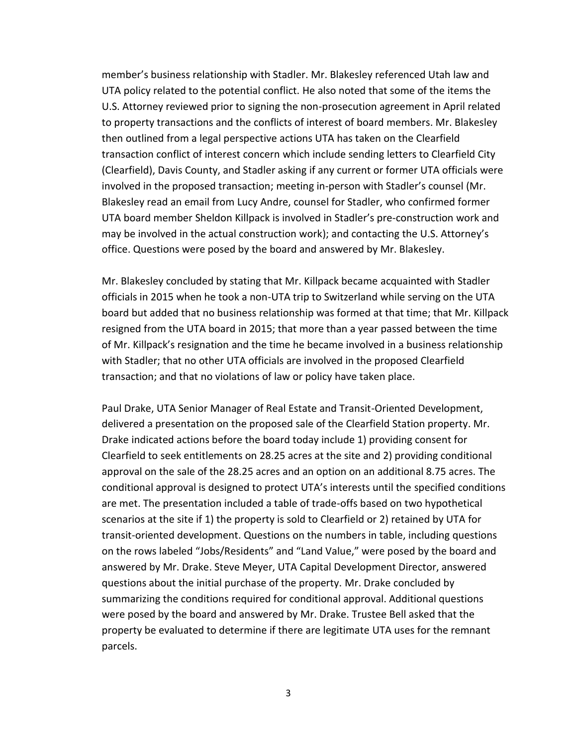member's business relationship with Stadler. Mr. Blakesley referenced Utah law and UTA policy related to the potential conflict. He also noted that some of the items the U.S. Attorney reviewed prior to signing the non-prosecution agreement in April related to property transactions and the conflicts of interest of board members. Mr. Blakesley then outlined from a legal perspective actions UTA has taken on the Clearfield transaction conflict of interest concern which include sending letters to Clearfield City (Clearfield), Davis County, and Stadler asking if any current or former UTA officials were involved in the proposed transaction; meeting in-person with Stadler's counsel (Mr. Blakesley read an email from Lucy Andre, counsel for Stadler, who confirmed former UTA board member Sheldon Killpack is involved in Stadler's pre-construction work and may be involved in the actual construction work); and contacting the U.S. Attorney's office. Questions were posed by the board and answered by Mr. Blakesley.

Mr. Blakesley concluded by stating that Mr. Killpack became acquainted with Stadler officials in 2015 when he took a non-UTA trip to Switzerland while serving on the UTA board but added that no business relationship was formed at that time; that Mr. Killpack resigned from the UTA board in 2015; that more than a year passed between the time of Mr. Killpack's resignation and the time he became involved in a business relationship with Stadler; that no other UTA officials are involved in the proposed Clearfield transaction; and that no violations of law or policy have taken place.

Paul Drake, UTA Senior Manager of Real Estate and Transit-Oriented Development, delivered a presentation on the proposed sale of the Clearfield Station property. Mr. Drake indicated actions before the board today include 1) providing consent for Clearfield to seek entitlements on 28.25 acres at the site and 2) providing conditional approval on the sale of the 28.25 acres and an option on an additional 8.75 acres. The conditional approval is designed to protect UTA's interests until the specified conditions are met. The presentation included a table of trade-offs based on two hypothetical scenarios at the site if 1) the property is sold to Clearfield or 2) retained by UTA for transit-oriented development. Questions on the numbers in table, including questions on the rows labeled "Jobs/Residents" and "Land Value," were posed by the board and answered by Mr. Drake. Steve Meyer, UTA Capital Development Director, answered questions about the initial purchase of the property. Mr. Drake concluded by summarizing the conditions required for conditional approval. Additional questions were posed by the board and answered by Mr. Drake. Trustee Bell asked that the property be evaluated to determine if there are legitimate UTA uses for the remnant parcels.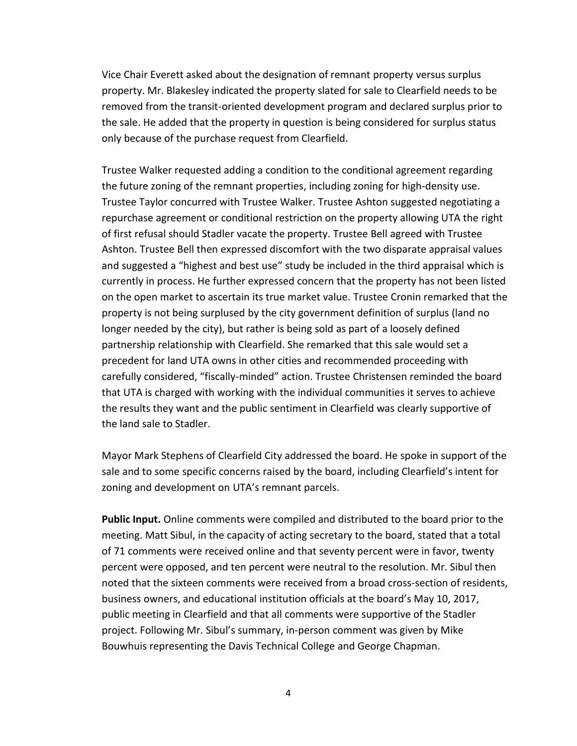Vice Chair Everett asked about the designation of remnant property versus surplus property. Mr. Blakesley indicated the property slated for sale to Clearfield needs to be removed from the transit-oriented development program and declared surplus prior to the sale. He added that the property in question is being considered for surplus status only because of the purchase request from Clearfield.

Trustee Walker requested adding a condition to the conditional agreement regarding the future zoning of the remnant properties, including zoning for high-density use. Trustee Taylor concurred with Trustee Walker. Trustee Ashton suggested negotiating a repurchase agreement or conditional restriction on the property allowing UTA the right of first refusal should Stadler vacate the property. Trustee Bell agreed with Trustee Ashton. Trustee Bell then expressed discomfort with the two disparate appraisal values and suggested a "highest and best use" study be included in the third appraisal which is currently in process. He further expressed concern that the property has not been listed on the open market to ascertain its true market value. Trustee Cronin remarked that the property is not being surplused by the city government definition of surplus (land no longer needed by the city), but rather is being sold as part of a loosely defined partnership relationship with Clearfield. She remarked that this sale would set a precedent for land UTA owns in other cities and recommended proceeding with carefully considered, "fiscally-minded" action. Trustee Christensen reminded the board that UTA is charged with working with the individual communities it serves to achieve the results they want and the public sentiment in Clearfield was clearly supportive of the land sale to Stadler.

Mayor Mark Stephens of Clearfield City addressed the board. He spoke in support of the sale and to some specific concerns raised by the board, including Clearfield's intent for zoning and development on UTA's remnant parcels.

**Public Input.** Online comments were compiled and distributed to the board prior to the meeting. Matt Sibul, in the capacity of acting secretary to the board, stated that a total of 71 comments were received online and that seventy percent were in favor, twenty percent were opposed, and ten percent were neutral to the resolution. Mr. Sibul then noted that the sixteen comments were received from a broad cross-section of residents, business owners, and educational institution officials at the board's May 10, 2017, public meeting in Clearfield and that all comments were supportive of the Stadler project. Following Mr. Sibul's summary, in-person comment was given by Mike Bouwhuis representing the Davis Technical College and George Chapman.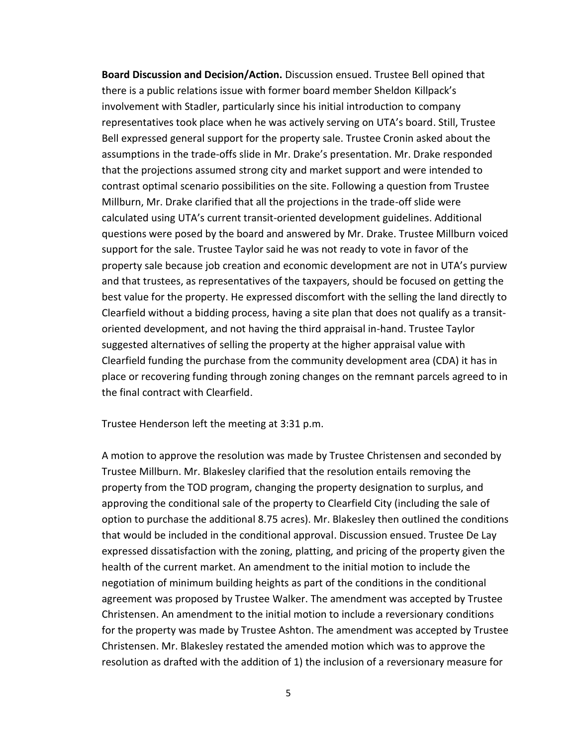**Board Discussion and Decision/Action.** Discussion ensued. Trustee Bell opined that there is a public relations issue with former board member Sheldon Killpack's involvement with Stadler, particularly since his initial introduction to company representatives took place when he was actively serving on UTA's board. Still, Trustee Bell expressed general support for the property sale. Trustee Cronin asked about the assumptions in the trade-offs slide in Mr. Drake's presentation. Mr. Drake responded that the projections assumed strong city and market support and were intended to contrast optimal scenario possibilities on the site. Following a question from Trustee Millburn, Mr. Drake clarified that all the projections in the trade-off slide were calculated using UTA's current transit-oriented development guidelines. Additional questions were posed by the board and answered by Mr. Drake. Trustee Millburn voiced support for the sale. Trustee Taylor said he was not ready to vote in favor of the property sale because job creation and economic development are not in UTA's purview and that trustees, as representatives of the taxpayers, should be focused on getting the best value for the property. He expressed discomfort with the selling the land directly to Clearfield without a bidding process, having a site plan that does not qualify as a transitoriented development, and not having the third appraisal in-hand. Trustee Taylor suggested alternatives of selling the property at the higher appraisal value with Clearfield funding the purchase from the community development area (CDA) it has in place or recovering funding through zoning changes on the remnant parcels agreed to in the final contract with Clearfield.

Trustee Henderson left the meeting at 3:31 p.m.

A motion to approve the resolution was made by Trustee Christensen and seconded by Trustee Millburn. Mr. Blakesley clarified that the resolution entails removing the property from the TOD program, changing the property designation to surplus, and approving the conditional sale of the property to Clearfield City (including the sale of option to purchase the additional 8.75 acres). Mr. Blakesley then outlined the conditions that would be included in the conditional approval. Discussion ensued. Trustee De Lay expressed dissatisfaction with the zoning, platting, and pricing of the property given the health of the current market. An amendment to the initial motion to include the negotiation of minimum building heights as part of the conditions in the conditional agreement was proposed by Trustee Walker. The amendment was accepted by Trustee Christensen. An amendment to the initial motion to include a reversionary conditions for the property was made by Trustee Ashton. The amendment was accepted by Trustee Christensen. Mr. Blakesley restated the amended motion which was to approve the resolution as drafted with the addition of 1) the inclusion of a reversionary measure for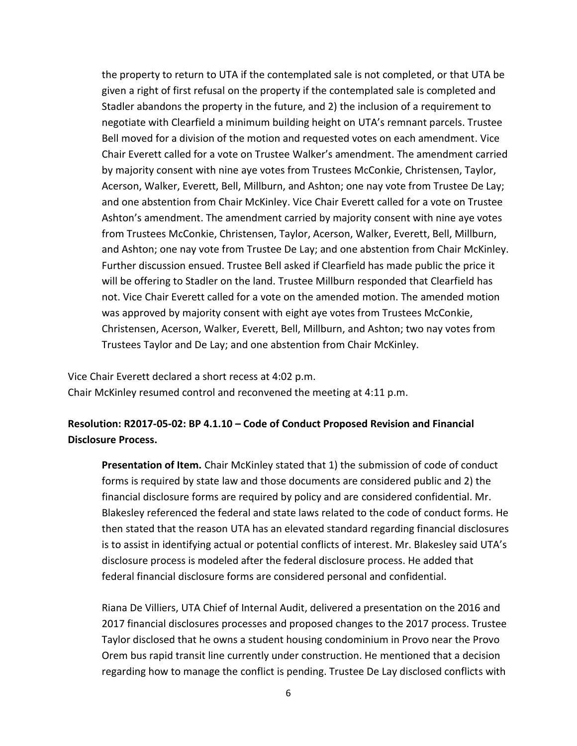the property to return to UTA if the contemplated sale is not completed, or that UTA be given a right of first refusal on the property if the contemplated sale is completed and Stadler abandons the property in the future, and 2) the inclusion of a requirement to negotiate with Clearfield a minimum building height on UTA's remnant parcels. Trustee Bell moved for a division of the motion and requested votes on each amendment. Vice Chair Everett called for a vote on Trustee Walker's amendment. The amendment carried by majority consent with nine aye votes from Trustees McConkie, Christensen, Taylor, Acerson, Walker, Everett, Bell, Millburn, and Ashton; one nay vote from Trustee De Lay; and one abstention from Chair McKinley. Vice Chair Everett called for a vote on Trustee Ashton's amendment. The amendment carried by majority consent with nine aye votes from Trustees McConkie, Christensen, Taylor, Acerson, Walker, Everett, Bell, Millburn, and Ashton; one nay vote from Trustee De Lay; and one abstention from Chair McKinley. Further discussion ensued. Trustee Bell asked if Clearfield has made public the price it will be offering to Stadler on the land. Trustee Millburn responded that Clearfield has not. Vice Chair Everett called for a vote on the amended motion. The amended motion was approved by majority consent with eight aye votes from Trustees McConkie, Christensen, Acerson, Walker, Everett, Bell, Millburn, and Ashton; two nay votes from Trustees Taylor and De Lay; and one abstention from Chair McKinley.

Vice Chair Everett declared a short recess at 4:02 p.m.

Chair McKinley resumed control and reconvened the meeting at 4:11 p.m.

# **Resolution: R2017-05-02: BP 4.1.10 – Code of Conduct Proposed Revision and Financial Disclosure Process.**

**Presentation of Item.** Chair McKinley stated that 1) the submission of code of conduct forms is required by state law and those documents are considered public and 2) the financial disclosure forms are required by policy and are considered confidential. Mr. Blakesley referenced the federal and state laws related to the code of conduct forms. He then stated that the reason UTA has an elevated standard regarding financial disclosures is to assist in identifying actual or potential conflicts of interest. Mr. Blakesley said UTA's disclosure process is modeled after the federal disclosure process. He added that federal financial disclosure forms are considered personal and confidential.

Riana De Villiers, UTA Chief of Internal Audit, delivered a presentation on the 2016 and 2017 financial disclosures processes and proposed changes to the 2017 process. Trustee Taylor disclosed that he owns a student housing condominium in Provo near the Provo Orem bus rapid transit line currently under construction. He mentioned that a decision regarding how to manage the conflict is pending. Trustee De Lay disclosed conflicts with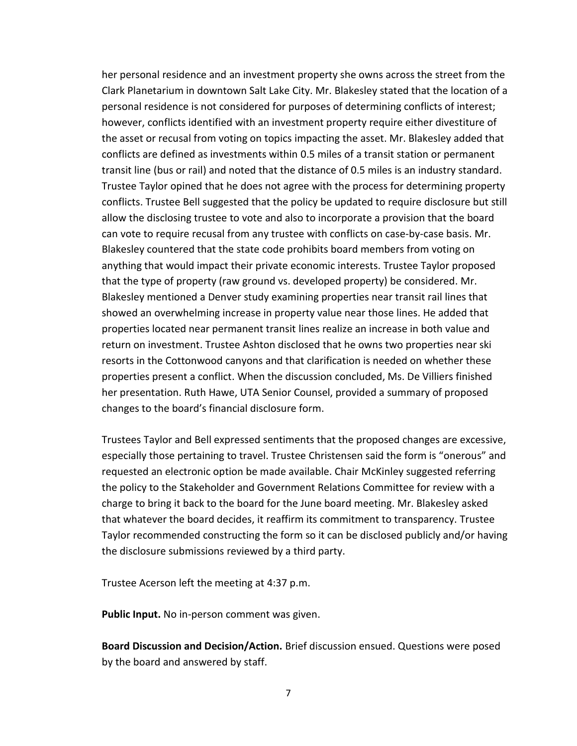her personal residence and an investment property she owns across the street from the Clark Planetarium in downtown Salt Lake City. Mr. Blakesley stated that the location of a personal residence is not considered for purposes of determining conflicts of interest; however, conflicts identified with an investment property require either divestiture of the asset or recusal from voting on topics impacting the asset. Mr. Blakesley added that conflicts are defined as investments within 0.5 miles of a transit station or permanent transit line (bus or rail) and noted that the distance of 0.5 miles is an industry standard. Trustee Taylor opined that he does not agree with the process for determining property conflicts. Trustee Bell suggested that the policy be updated to require disclosure but still allow the disclosing trustee to vote and also to incorporate a provision that the board can vote to require recusal from any trustee with conflicts on case-by-case basis. Mr. Blakesley countered that the state code prohibits board members from voting on anything that would impact their private economic interests. Trustee Taylor proposed that the type of property (raw ground vs. developed property) be considered. Mr. Blakesley mentioned a Denver study examining properties near transit rail lines that showed an overwhelming increase in property value near those lines. He added that properties located near permanent transit lines realize an increase in both value and return on investment. Trustee Ashton disclosed that he owns two properties near ski resorts in the Cottonwood canyons and that clarification is needed on whether these properties present a conflict. When the discussion concluded, Ms. De Villiers finished her presentation. Ruth Hawe, UTA Senior Counsel, provided a summary of proposed changes to the board's financial disclosure form.

Trustees Taylor and Bell expressed sentiments that the proposed changes are excessive, especially those pertaining to travel. Trustee Christensen said the form is "onerous" and requested an electronic option be made available. Chair McKinley suggested referring the policy to the Stakeholder and Government Relations Committee for review with a charge to bring it back to the board for the June board meeting. Mr. Blakesley asked that whatever the board decides, it reaffirm its commitment to transparency. Trustee Taylor recommended constructing the form so it can be disclosed publicly and/or having the disclosure submissions reviewed by a third party.

Trustee Acerson left the meeting at 4:37 p.m.

**Public Input.** No in-person comment was given.

**Board Discussion and Decision/Action.** Brief discussion ensued. Questions were posed by the board and answered by staff.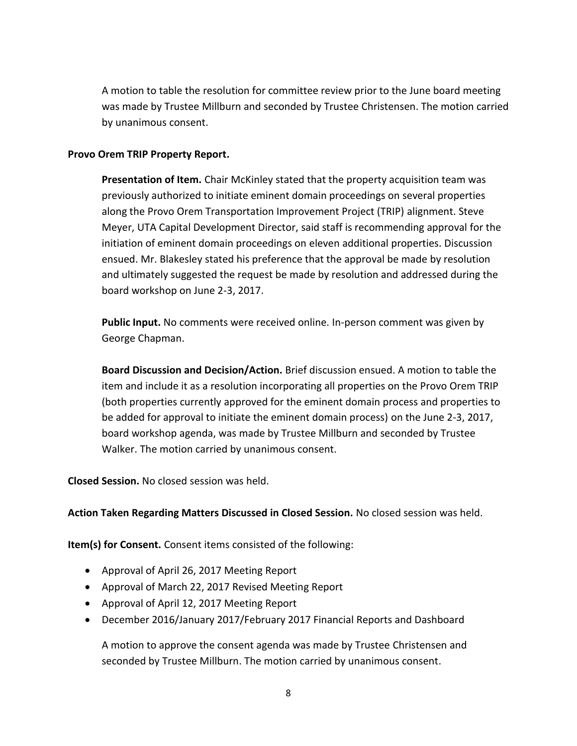A motion to table the resolution for committee review prior to the June board meeting was made by Trustee Millburn and seconded by Trustee Christensen. The motion carried by unanimous consent.

### **Provo Orem TRIP Property Report.**

**Presentation of Item.** Chair McKinley stated that the property acquisition team was previously authorized to initiate eminent domain proceedings on several properties along the Provo Orem Transportation Improvement Project (TRIP) alignment. Steve Meyer, UTA Capital Development Director, said staff is recommending approval for the initiation of eminent domain proceedings on eleven additional properties. Discussion ensued. Mr. Blakesley stated his preference that the approval be made by resolution and ultimately suggested the request be made by resolution and addressed during the board workshop on June 2-3, 2017.

**Public Input.** No comments were received online. In-person comment was given by George Chapman.

**Board Discussion and Decision/Action.** Brief discussion ensued. A motion to table the item and include it as a resolution incorporating all properties on the Provo Orem TRIP (both properties currently approved for the eminent domain process and properties to be added for approval to initiate the eminent domain process) on the June 2-3, 2017, board workshop agenda, was made by Trustee Millburn and seconded by Trustee Walker. The motion carried by unanimous consent.

**Closed Session.** No closed session was held.

**Action Taken Regarding Matters Discussed in Closed Session.** No closed session was held.

**Item(s) for Consent.** Consent items consisted of the following:

- Approval of April 26, 2017 Meeting Report
- Approval of March 22, 2017 Revised Meeting Report
- Approval of April 12, 2017 Meeting Report
- December 2016/January 2017/February 2017 Financial Reports and Dashboard

A motion to approve the consent agenda was made by Trustee Christensen and seconded by Trustee Millburn. The motion carried by unanimous consent.